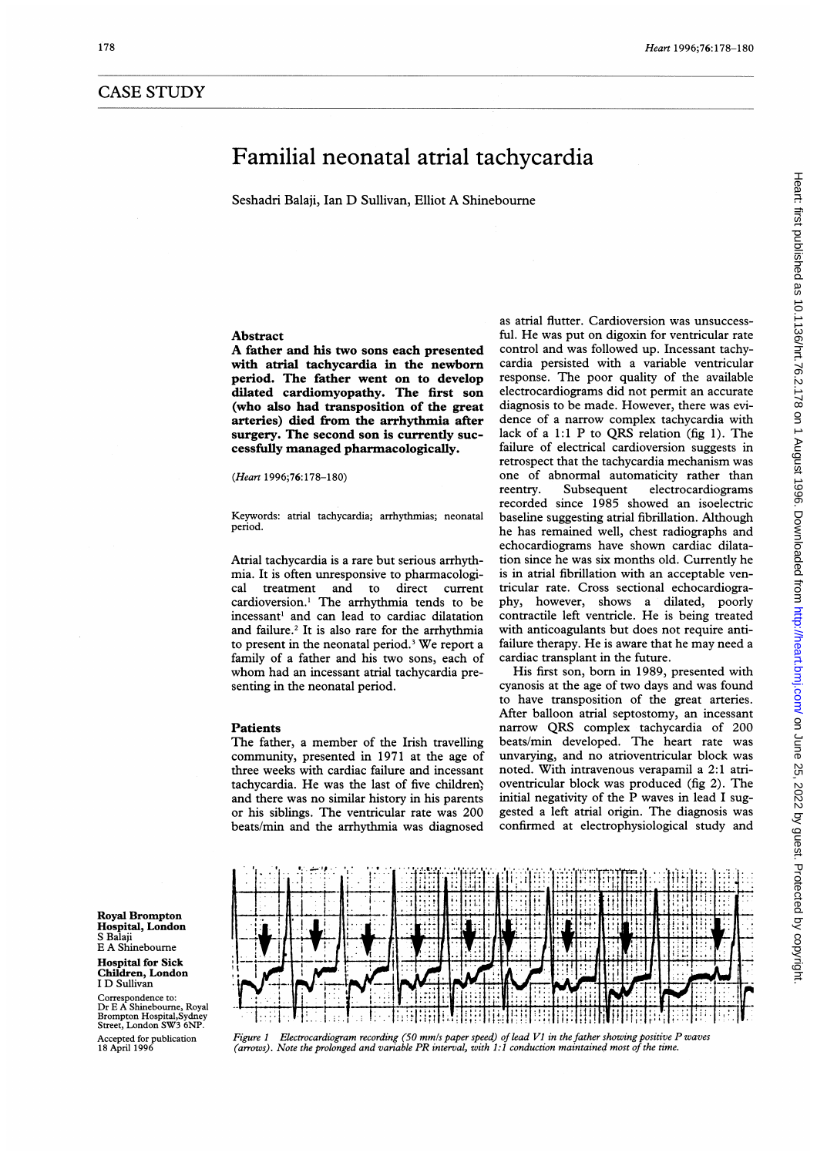# CASE STUDY

# Familial neonatal atrial tachycardia

Seshadri Balaji, Ian D Sullivan, Elliot A Shinebourne

# Abstract

A father and his two sons each presented with atrial tachycardia in the newborn period. The father went on to develop dilated cardiomyopathy. The first son (who also had transposition of the great arteries) died from the arrhythmia after surgery. The second son is currently successfully managed pharmacologically.

#### (Heart 1996;76:178-180)

Keywords: atrial tachycardia; arrhythmias; neonatal period.

Atrial tachycardia is a rare but serious arrhythmia. It is often unresponsive to pharmacological treatment and to direct current treatment and to direct current cardioversion.' The arrhythmia tends to be incessant' and can lead to cardiac dilatation and failure.<sup>2</sup> It is also rare for the arrhythmia to present in the neonatal period.3 We report <sup>a</sup> family of a father and his two sons, each of whom had an incessant atrial tachycardia presenting in the neonatal period.

# Patients

The father, <sup>a</sup> member of the Irish travelling community, presented in 1971 at the age of three weeks with cardiac failure and incessant tachycardia. He was the last of five children; and there was no similar history in his parents or his siblings. The ventricular rate was 200 beats/min and the arrhythmia was diagnosed as atrial flutter. Cardioversion was unsuccessful. He was put on digoxin for ventricular rate control and was followed up. Incessant tachycardia persisted with a variable ventricular response. The poor quality of the available electrocardiograms did not permit an accurate diagnosis to be made. However, there was evidence of a narrow complex tachycardia with lack of <sup>a</sup> 1:1 P to QRS relation (fig 1). The failure of electrical cardioversion suggests in retrospect that the tachycardia mechanism was one of abnormal automaticity rather than reentry. Subsequent electrocardiograms recorded since 1985 showed an isoelectric baseline suggesting atrial fibrillation. Although he has remained well, chest radiographs and echocardiograms have shown cardiac dilatation since he was six months old. Currently he is in atrial fibrillation with an acceptable ventricular rate. Cross sectional echocardiography, however, shows a dilated, poorly contractile left ventricle. He is being treated with anticoagulants but does not require antifailure therapy. He is aware that he may need <sup>a</sup> cardiac transplant in the future.

His first son, born in 1989, presented with cyanosis at the age of two days and was found to have transposition of the great arteries. After balloon atrial septostomy, an incessant narrow QRS complex tachycardia of 200 beats/min developed. The heart rate was unvarying, and no atrioventricular block was noted. With intravenous verapamil a 2:1 atrioventricular block was produced (fig 2). The initial negativity of the P waves in lead <sup>I</sup> suggested a left atrial origin. The diagnosis was confirmed at electrophysiological study and



Children, London <sup>I</sup> D Sullivan

Correspondence to: Dr E A Shinebourne, Royal Brompton Hospital,Sy Street, London SW3 6NP. Accepted for publication 18 April 1996



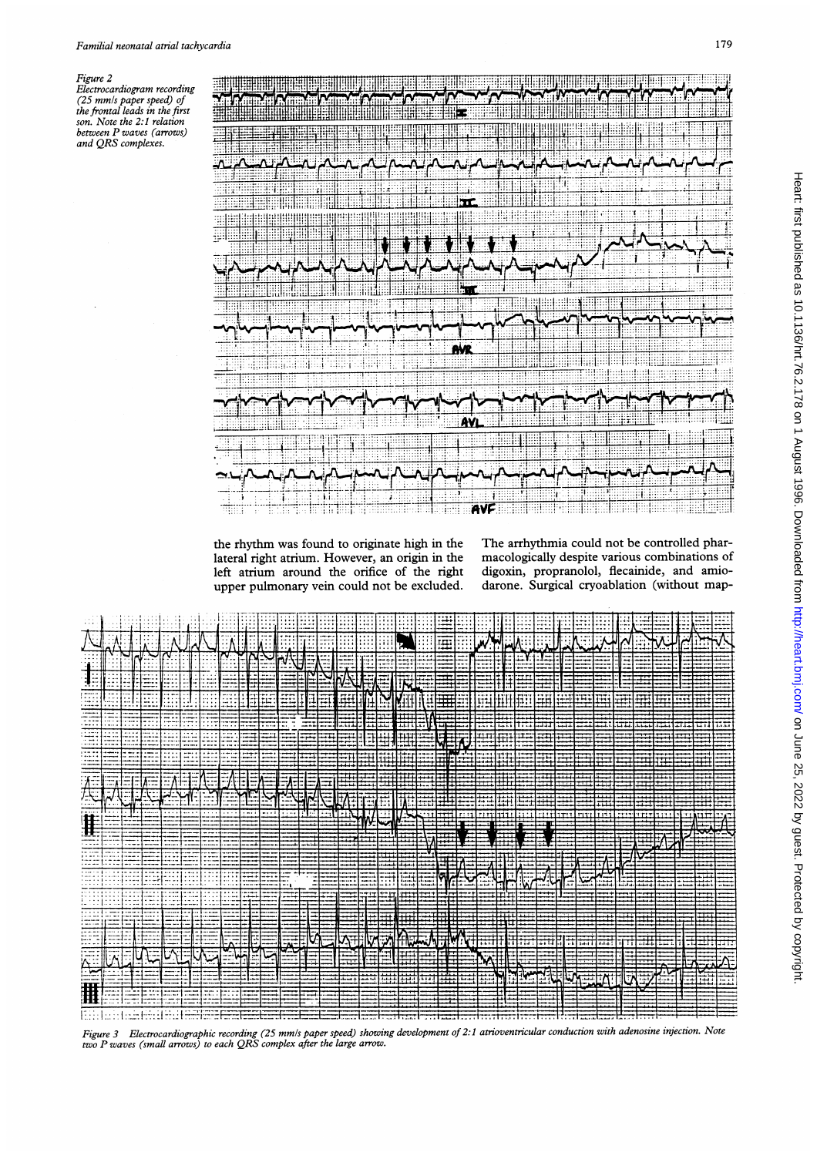Figure 2

Electrocardiogram recording Executional pairs are chained the frontal leads in the first<br>the frontal leads in the first<br>son. Note the 2:1 relation<br>between P waves (arrows)<br>and QRS complexes.



the rhythm was found to originate high in the lateral right atrium. However, an origin in the left atrium around the orifice of the right upper pulmonary vein could not be excluded.

The arrhythmia could not be controlled pharmacologically despite various combinations of digoxin, propranolol, flecainide, and amiodarone. Surgical cryoablation (without map-

|   |  |  |  |  |     |     |  | 1.1.1.1 | li:::1:!!! |     | Ħ   |         |         |       |        |       |         |          |                  |      |       |      |  |
|---|--|--|--|--|-----|-----|--|---------|------------|-----|-----|---------|---------|-------|--------|-------|---------|----------|------------------|------|-------|------|--|
|   |  |  |  |  |     |     |  |         |            |     |     |         |         |       |        |       |         |          |                  |      |       |      |  |
|   |  |  |  |  |     |     |  |         |            |     |     |         |         |       |        |       |         |          |                  |      |       |      |  |
|   |  |  |  |  | :11 | === |  |         |            |     |     |         |         |       |        |       | .       | ۰,۰۰۰    | r <del>1 +</del> | +++  | ,,,,, | بببب |  |
|   |  |  |  |  |     |     |  |         |            |     |     | .       | $1 - 1$ |       |        |       |         |          |                  |      |       | -…   |  |
|   |  |  |  |  |     |     |  |         |            |     |     |         |         |       |        |       |         |          |                  |      |       |      |  |
|   |  |  |  |  |     |     |  |         |            |     |     |         |         |       |        |       |         |          |                  |      |       |      |  |
|   |  |  |  |  |     |     |  |         |            |     |     |         |         |       |        |       |         |          |                  |      |       |      |  |
|   |  |  |  |  |     |     |  |         |            |     |     |         |         |       |        |       |         |          |                  |      |       |      |  |
| Ï |  |  |  |  |     |     |  |         |            |     |     |         |         |       | 71 F F | די דו | m       | ,,,,     |                  | ハート・ |       |      |  |
|   |  |  |  |  |     |     |  |         |            |     |     |         |         |       |        |       |         |          |                  |      |       |      |  |
|   |  |  |  |  |     |     |  |         |            |     |     |         |         |       |        |       |         |          |                  |      |       |      |  |
|   |  |  |  |  |     |     |  |         |            |     |     |         |         |       |        |       |         | ⊏        |                  |      |       |      |  |
|   |  |  |  |  |     |     |  |         |            |     |     |         |         |       |        |       |         |          |                  |      |       |      |  |
|   |  |  |  |  |     |     |  |         |            |     |     |         |         |       |        |       |         |          |                  |      |       |      |  |
|   |  |  |  |  |     |     |  |         |            |     |     |         |         |       |        |       |         |          |                  |      |       |      |  |
|   |  |  |  |  |     | -Ar |  |         |            |     |     | المقطور |         | . i j | .      |       | $+ - -$ | ز باده . |                  |      |       |      |  |
|   |  |  |  |  |     |     |  |         |            | ∣∓r |     |         |         |       |        |       |         |          |                  |      |       |      |  |
|   |  |  |  |  |     |     |  |         | باندا باب  |     | ببب |         |         |       |        |       | بسير    |          |                  |      |       |      |  |
|   |  |  |  |  |     |     |  |         |            |     |     |         |         |       |        |       |         |          |                  |      |       |      |  |

Figure 3 Electrocardiographic recording (25 mm/s paper speed) showing development of 2:1 atrioventricular conduction with adenosine injection. Note<br>two P waves (small arrows) to each QRS complex after the large arrow.